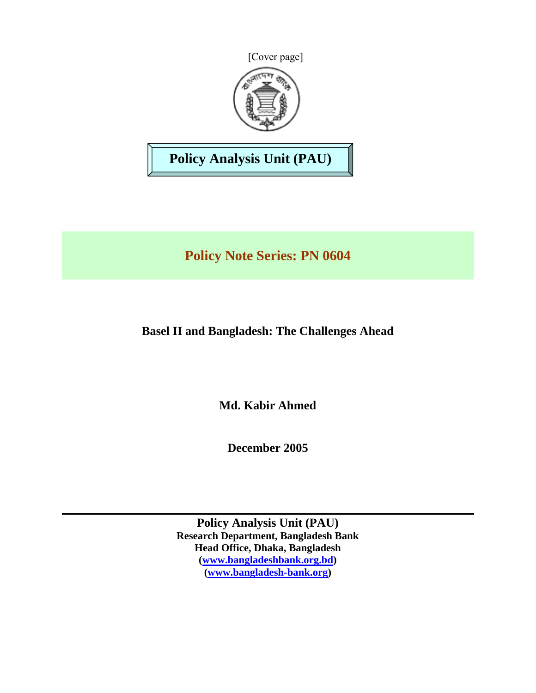[Cover page]



**Policy Analysis Unit (PAU)** 

**Policy Note Series: PN 0604** 

**Basel II and Bangladesh: The Challenges Ahead**

**Md. Kabir Ahmed** 

**December 2005** 

**Policy Analysis Unit (PAU) Research Department, Bangladesh Bank Head Office, Dhaka, Bangladesh (www.bangladeshbank.org.bd) (www.bangladesh-bank.org)**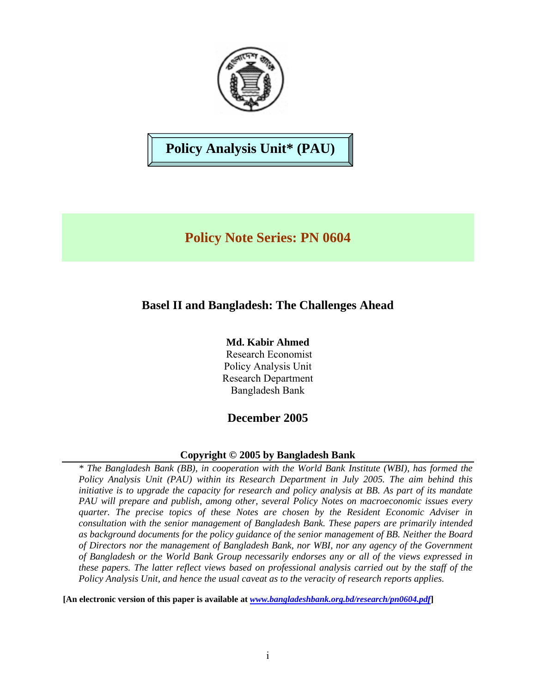

**Policy Analysis Unit\* (PAU)** 

# **Policy Note Series: PN 0604**

# **Basel II and Bangladesh: The Challenges Ahead**

## **Md. Kabir Ahmed**

 Research Economist Policy Analysis Unit Research Department Bangladesh Bank

# **December 2005**

## **Copyright © 2005 by Bangladesh Bank**

*\* The Bangladesh Bank (BB), in cooperation with the World Bank Institute (WBI), has formed the Policy Analysis Unit (PAU) within its Research Department in July 2005. The aim behind this initiative is to upgrade the capacity for research and policy analysis at BB. As part of its mandate PAU will prepare and publish, among other, several Policy Notes on macroeconomic issues every quarter. The precise topics of these Notes are chosen by the Resident Economic Adviser in consultation with the senior management of Bangladesh Bank. These papers are primarily intended as background documents for the policy guidance of the senior management of BB. Neither the Board of Directors nor the management of Bangladesh Bank, nor WBI, nor any agency of the Government of Bangladesh or the World Bank Group necessarily endorses any or all of the views expressed in these papers. The latter reflect views based on professional analysis carried out by the staff of the Policy Analysis Unit, and hence the usual caveat as to the veracity of research reports applies.*

**[An electronic version of this paper is available at** *www.bangladeshbank.org.bd/research/pn0604.pdf***]**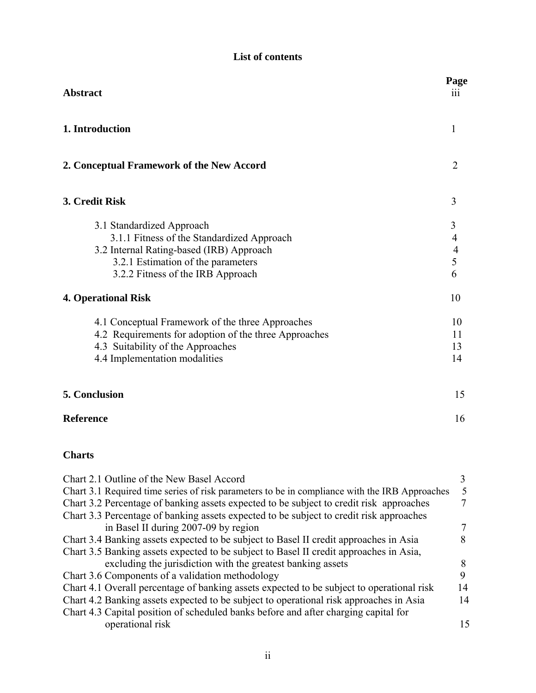## **List of contents**

| 1. Introduction<br>1<br>2. Conceptual Framework of the New Accord<br>2<br>3. Credit Risk<br>3<br>3<br>3.1 Standardized Approach<br>$\overline{\mathcal{A}}$<br>3.1.1 Fitness of the Standardized Approach<br>$\frac{4}{5}$<br>3.2 Internal Rating-based (IRB) Approach<br>3.2.1 Estimation of the parameters<br>6<br>3.2.2 Fitness of the IRB Approach<br><b>4. Operational Risk</b><br>10<br>4.1 Conceptual Framework of the three Approaches<br>10<br>4.2 Requirements for adoption of the three Approaches<br>11<br>4.3 Suitability of the Approaches<br>13<br>4.4 Implementation modalities<br>14<br>5. Conclusion<br>15<br><b>Reference</b><br>16<br><b>Charts</b><br>Chart 2.1 Outline of the New Basel Accord<br>3<br>5<br>Chart 3.1 Required time series of risk parameters to be in compliance with the IRB Approaches<br>$\overline{7}$<br>Chart 3.2 Percentage of banking assets expected to be subject to credit risk approaches<br>Chart 3.3 Percentage of banking assets expected to be subject to credit risk approaches<br>in Basel II during 2007-09 by region<br>7<br>8<br>Chart 3.4 Banking assets expected to be subject to Basel II credit approaches in Asia<br>Chart 3.5 Banking assets expected to be subject to Basel II credit approaches in Asia,<br>excluding the jurisdiction with the greatest banking assets<br>8<br>9<br>Chart 3.6 Components of a validation methodology<br>Chart 4.1 Overall percentage of banking assets expected to be subject to operational risk<br>14<br>Chart 4.2 Banking assets expected to be subject to operational risk approaches in Asia<br>14<br>Chart 4.3 Capital position of scheduled banks before and after charging capital for<br>operational risk<br>15 | <b>Abstract</b> | Page<br>111 |
|-------------------------------------------------------------------------------------------------------------------------------------------------------------------------------------------------------------------------------------------------------------------------------------------------------------------------------------------------------------------------------------------------------------------------------------------------------------------------------------------------------------------------------------------------------------------------------------------------------------------------------------------------------------------------------------------------------------------------------------------------------------------------------------------------------------------------------------------------------------------------------------------------------------------------------------------------------------------------------------------------------------------------------------------------------------------------------------------------------------------------------------------------------------------------------------------------------------------------------------------------------------------------------------------------------------------------------------------------------------------------------------------------------------------------------------------------------------------------------------------------------------------------------------------------------------------------------------------------------------------------------------------------------------------------------------------------------------------------------|-----------------|-------------|
|                                                                                                                                                                                                                                                                                                                                                                                                                                                                                                                                                                                                                                                                                                                                                                                                                                                                                                                                                                                                                                                                                                                                                                                                                                                                                                                                                                                                                                                                                                                                                                                                                                                                                                                               |                 |             |
|                                                                                                                                                                                                                                                                                                                                                                                                                                                                                                                                                                                                                                                                                                                                                                                                                                                                                                                                                                                                                                                                                                                                                                                                                                                                                                                                                                                                                                                                                                                                                                                                                                                                                                                               |                 |             |
|                                                                                                                                                                                                                                                                                                                                                                                                                                                                                                                                                                                                                                                                                                                                                                                                                                                                                                                                                                                                                                                                                                                                                                                                                                                                                                                                                                                                                                                                                                                                                                                                                                                                                                                               |                 |             |
|                                                                                                                                                                                                                                                                                                                                                                                                                                                                                                                                                                                                                                                                                                                                                                                                                                                                                                                                                                                                                                                                                                                                                                                                                                                                                                                                                                                                                                                                                                                                                                                                                                                                                                                               |                 |             |
|                                                                                                                                                                                                                                                                                                                                                                                                                                                                                                                                                                                                                                                                                                                                                                                                                                                                                                                                                                                                                                                                                                                                                                                                                                                                                                                                                                                                                                                                                                                                                                                                                                                                                                                               |                 |             |
|                                                                                                                                                                                                                                                                                                                                                                                                                                                                                                                                                                                                                                                                                                                                                                                                                                                                                                                                                                                                                                                                                                                                                                                                                                                                                                                                                                                                                                                                                                                                                                                                                                                                                                                               |                 |             |
|                                                                                                                                                                                                                                                                                                                                                                                                                                                                                                                                                                                                                                                                                                                                                                                                                                                                                                                                                                                                                                                                                                                                                                                                                                                                                                                                                                                                                                                                                                                                                                                                                                                                                                                               |                 |             |
|                                                                                                                                                                                                                                                                                                                                                                                                                                                                                                                                                                                                                                                                                                                                                                                                                                                                                                                                                                                                                                                                                                                                                                                                                                                                                                                                                                                                                                                                                                                                                                                                                                                                                                                               |                 |             |
|                                                                                                                                                                                                                                                                                                                                                                                                                                                                                                                                                                                                                                                                                                                                                                                                                                                                                                                                                                                                                                                                                                                                                                                                                                                                                                                                                                                                                                                                                                                                                                                                                                                                                                                               |                 |             |
|                                                                                                                                                                                                                                                                                                                                                                                                                                                                                                                                                                                                                                                                                                                                                                                                                                                                                                                                                                                                                                                                                                                                                                                                                                                                                                                                                                                                                                                                                                                                                                                                                                                                                                                               |                 |             |
|                                                                                                                                                                                                                                                                                                                                                                                                                                                                                                                                                                                                                                                                                                                                                                                                                                                                                                                                                                                                                                                                                                                                                                                                                                                                                                                                                                                                                                                                                                                                                                                                                                                                                                                               |                 |             |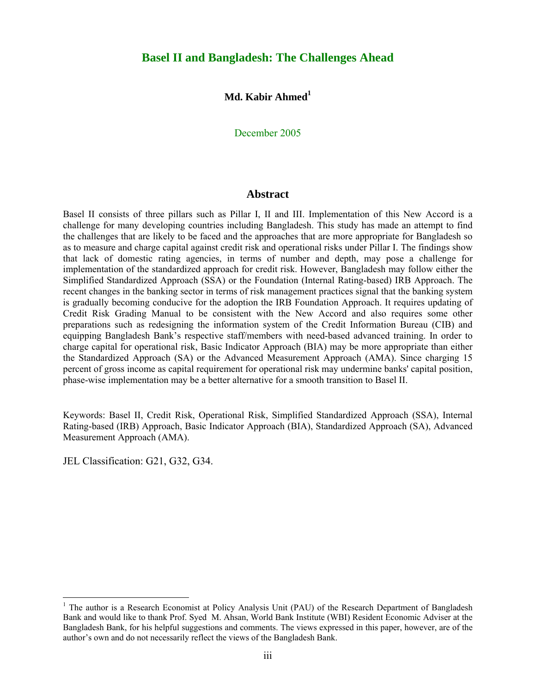Md. Kabir Ahmed<sup>1</sup>

December 2005

## **Abstract**

Basel II consists of three pillars such as Pillar I, II and III. Implementation of this New Accord is a challenge for many developing countries including Bangladesh. This study has made an attempt to find the challenges that are likely to be faced and the approaches that are more appropriate for Bangladesh so as to measure and charge capital against credit risk and operational risks under Pillar I. The findings show that lack of domestic rating agencies, in terms of number and depth, may pose a challenge for implementation of the standardized approach for credit risk. However, Bangladesh may follow either the Simplified Standardized Approach (SSA) or the Foundation (Internal Rating-based) IRB Approach. The recent changes in the banking sector in terms of risk management practices signal that the banking system is gradually becoming conducive for the adoption the IRB Foundation Approach. It requires updating of Credit Risk Grading Manual to be consistent with the New Accord and also requires some other preparations such as redesigning the information system of the Credit Information Bureau (CIB) and equipping Bangladesh Bank's respective staff/members with need-based advanced training. In order to charge capital for operational risk, Basic Indicator Approach (BIA) may be more appropriate than either the Standardized Approach (SA) or the Advanced Measurement Approach (AMA). Since charging 15 percent of gross income as capital requirement for operational risk may undermine banks' capital position, phase-wise implementation may be a better alternative for a smooth transition to Basel II.

Keywords: Basel II, Credit Risk, Operational Risk, Simplified Standardized Approach (SSA), Internal Rating-based (IRB) Approach, Basic Indicator Approach (BIA), Standardized Approach (SA), Advanced Measurement Approach (AMA).

JEL Classification: G21, G32, G34.

 $\overline{a}$ 

<sup>&</sup>lt;sup>1</sup> The author is a Research Economist at Policy Analysis Unit (PAU) of the Research Department of Bangladesh Bank and would like to thank Prof. Syed M. Ahsan, World Bank Institute (WBI) Resident Economic Adviser at the Bangladesh Bank, for his helpful suggestions and comments. The views expressed in this paper, however, are of the author's own and do not necessarily reflect the views of the Bangladesh Bank.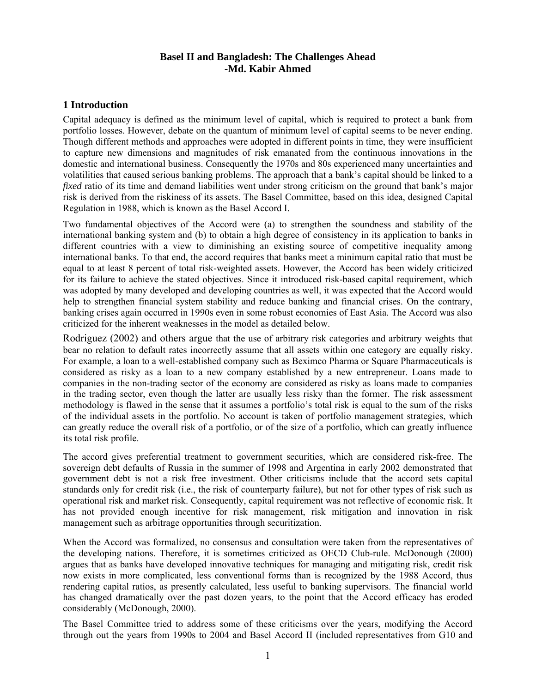## **Basel II and Bangladesh: The Challenges Ahead -Md. Kabir Ahmed**

### **1 Introduction**

Capital adequacy is defined as the minimum level of capital, which is required to protect a bank from portfolio losses. However, debate on the quantum of minimum level of capital seems to be never ending. Though different methods and approaches were adopted in different points in time, they were insufficient to capture new dimensions and magnitudes of risk emanated from the continuous innovations in the domestic and international business. Consequently the 1970s and 80s experienced many uncertainties and volatilities that caused serious banking problems. The approach that a bank's capital should be linked to a *fixed* ratio of its time and demand liabilities went under strong criticism on the ground that bank's major risk is derived from the riskiness of its assets. The Basel Committee, based on this idea, designed Capital Regulation in 1988, which is known as the Basel Accord I.

Two fundamental objectives of the Accord were (a) to strengthen the soundness and stability of the international banking system and (b) to obtain a high degree of consistency in its application to banks in different countries with a view to diminishing an existing source of competitive inequality among international banks. To that end, the accord requires that banks meet a minimum capital ratio that must be equal to at least 8 percent of total risk-weighted assets. However, the Accord has been widely criticized for its failure to achieve the stated objectives. Since it introduced risk-based capital requirement, which was adopted by many developed and developing countries as well, it was expected that the Accord would help to strengthen financial system stability and reduce banking and financial crises. On the contrary, banking crises again occurred in 1990s even in some robust economies of East Asia. The Accord was also criticized for the inherent weaknesses in the model as detailed below.

Rodriguez (2002) and others argue that the use of arbitrary risk categories and arbitrary weights that bear no relation to default rates incorrectly assume that all assets within one category are equally risky. For example, a loan to a well-established company such as Beximco Pharma or Square Pharmaceuticals is considered as risky as a loan to a new company established by a new entrepreneur. Loans made to companies in the non-trading sector of the economy are considered as risky as loans made to companies in the trading sector, even though the latter are usually less risky than the former. The risk assessment methodology is flawed in the sense that it assumes a portfolio's total risk is equal to the sum of the risks of the individual assets in the portfolio. No account is taken of portfolio management strategies, which can greatly reduce the overall risk of a portfolio, or of the size of a portfolio, which can greatly influence its total risk profile.

The accord gives preferential treatment to government securities, which are considered risk-free. The sovereign debt defaults of Russia in the summer of 1998 and Argentina in early 2002 demonstrated that government debt is not a risk free investment. Other criticisms include that the accord sets capital standards only for credit risk (i.e., the risk of counterparty failure), but not for other types of risk such as operational risk and market risk. Consequently, capital requirement was not reflective of economic risk. It has not provided enough incentive for risk management, risk mitigation and innovation in risk management such as arbitrage opportunities through securitization.

When the Accord was formalized, no consensus and consultation were taken from the representatives of the developing nations. Therefore, it is sometimes criticized as OECD Club-rule. McDonough (2000) argues that as banks have developed innovative techniques for managing and mitigating risk, credit risk now exists in more complicated, less conventional forms than is recognized by the 1988 Accord, thus rendering capital ratios, as presently calculated, less useful to banking supervisors. The financial world has changed dramatically over the past dozen years, to the point that the Accord efficacy has eroded considerably (McDonough, 2000).

The Basel Committee tried to address some of these criticisms over the years, modifying the Accord through out the years from 1990s to 2004 and Basel Accord II (included representatives from G10 and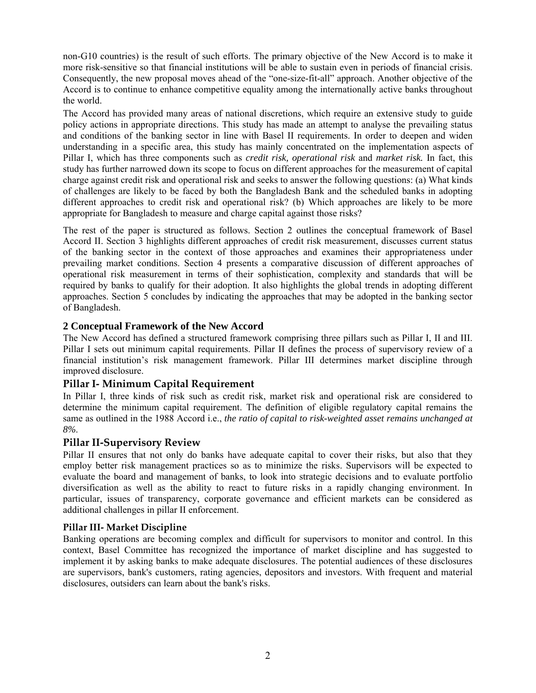non-G10 countries) is the result of such efforts. The primary objective of the New Accord is to make it more risk-sensitive so that financial institutions will be able to sustain even in periods of financial crisis. Consequently, the new proposal moves ahead of the "one-size-fit-all" approach. Another objective of the Accord is to continue to enhance competitive equality among the internationally active banks throughout the world.

The Accord has provided many areas of national discretions, which require an extensive study to guide policy actions in appropriate directions. This study has made an attempt to analyse the prevailing status and conditions of the banking sector in line with Basel II requirements. In order to deepen and widen understanding in a specific area, this study has mainly concentrated on the implementation aspects of Pillar I, which has three components such as *credit risk, operational risk* and *market risk.* In fact, this study has further narrowed down its scope to focus on different approaches for the measurement of capital charge against credit risk and operational risk and seeks to answer the following questions: (a) What kinds of challenges are likely to be faced by both the Bangladesh Bank and the scheduled banks in adopting different approaches to credit risk and operational risk? (b) Which approaches are likely to be more appropriate for Bangladesh to measure and charge capital against those risks?

The rest of the paper is structured as follows. Section 2 outlines the conceptual framework of Basel Accord II. Section 3 highlights different approaches of credit risk measurement, discusses current status of the banking sector in the context of those approaches and examines their appropriateness under prevailing market conditions. Section 4 presents a comparative discussion of different approaches of operational risk measurement in terms of their sophistication, complexity and standards that will be required by banks to qualify for their adoption. It also highlights the global trends in adopting different approaches. Section 5 concludes by indicating the approaches that may be adopted in the banking sector of Bangladesh.

## **2 Conceptual Framework of the New Accord**

The New Accord has defined a structured framework comprising three pillars such as Pillar I, II and III. Pillar I sets out minimum capital requirements. Pillar II defines the process of supervisory review of a financial institution's risk management framework. Pillar III determines market discipline through improved disclosure.

## **Pillar I‐ Minimum Capital Requirement**

In Pillar I, three kinds of risk such as credit risk, market risk and operational risk are considered to determine the minimum capital requirement. The definition of eligible regulatory capital remains the same as outlined in the 1988 Accord i.e., *the ratio of capital to risk-weighted asset remains unchanged at 8%*.

## **Pillar II‐Supervisory Review**

Pillar II ensures that not only do banks have adequate capital to cover their risks, but also that they employ better risk management practices so as to minimize the risks. Supervisors will be expected to evaluate the board and management of banks, to look into strategic decisions and to evaluate portfolio diversification as well as the ability to react to future risks in a rapidly changing environment. In particular, issues of transparency, corporate governance and efficient markets can be considered as additional challenges in pillar II enforcement.

#### **Pillar III‐ Market Discipline**

Banking operations are becoming complex and difficult for supervisors to monitor and control. In this context, Basel Committee has recognized the importance of market discipline and has suggested to implement it by asking banks to make adequate disclosures. The potential audiences of these disclosures are supervisors, bank's customers, rating agencies, depositors and investors. With frequent and material disclosures, outsiders can learn about the bank's risks.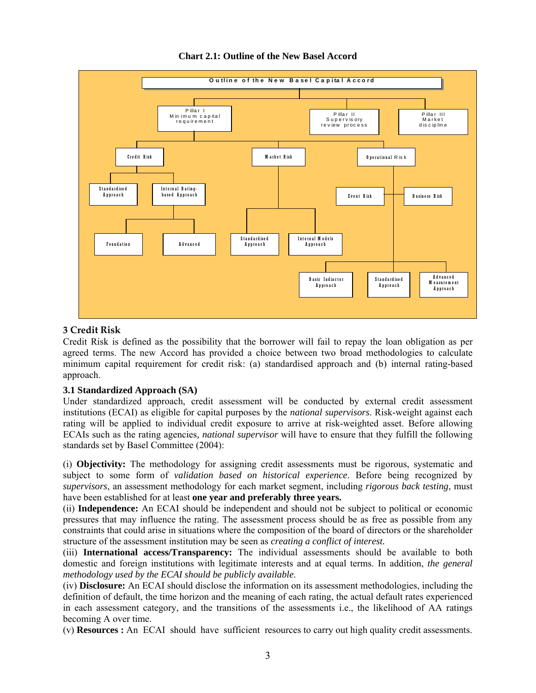

## **Chart 2.1: Outline of the New Basel Accord**

## **3 Credit Risk**

Credit Risk is defined as the possibility that the borrower will fail to repay the loan obligation as per agreed terms. The new Accord has provided a choice between two broad methodologies to calculate minimum capital requirement for credit risk: (a) standardised approach and (b) internal rating-based approach.

#### **3.1 Standardized Approach (SA)**

Under standardized approach, credit assessment will be conducted by external credit assessment institutions (ECAI) as eligible for capital purposes by the *national supervisors*. Risk-weight against each rating will be applied to individual credit exposure to arrive at risk-weighted asset. Before allowing ECAIs such as the rating agencies*, national supervisor* will have to ensure that they fulfill the following standards set by Basel Committee (2004):

(i) **Objectivity:** The methodology for assigning credit assessments must be rigorous, systematic and subject to some form of *validation based on historical experience*. Before being recognized by *supervisors*, an assessment methodology for each market segment, including *rigorous back testing*, must have been established for at least **one year and preferably three years.**

(ii) **Independence:** An ECAI should be independent and should not be subject to political or economic pressures that may influence the rating. The assessment process should be as free as possible from any constraints that could arise in situations where the composition of the board of directors or the shareholder structure of the assessment institution may be seen as *creating a conflict of interest.* 

(iii) **International access/Transparency:** The individual assessments should be available to both domestic and foreign institutions with legitimate interests and at equal terms. In addition, *the general methodology used by the ECAI should be publicly available*.

(iv) **Disclosure:** An ECAI should disclose the information on its assessment methodologies, including the definition of default, the time horizon and the meaning of each rating, the actual default rates experienced in each assessment category, and the transitions of the assessments i.e., the likelihood of AA ratings becoming A over time.

(v) **Resources :** An ECAI should have sufficient resources to carry out high quality credit assessments.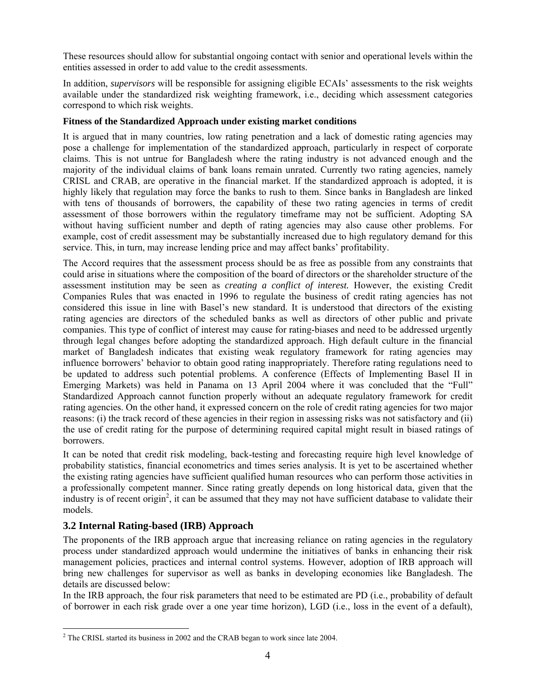These resources should allow for substantial ongoing contact with senior and operational levels within the entities assessed in order to add value to the credit assessments.

In addition, *supervisors* will be responsible for assigning eligible ECAIs' assessments to the risk weights available under the standardized risk weighting framework, i.e., deciding which assessment categories correspond to which risk weights.

### **Fitness of the Standardized Approach under existing market conditions**

It is argued that in many countries, low rating penetration and a lack of domestic rating agencies may pose a challenge for implementation of the standardized approach, particularly in respect of corporate claims. This is not untrue for Bangladesh where the rating industry is not advanced enough and the majority of the individual claims of bank loans remain unrated. Currently two rating agencies, namely CRISL and CRAB, are operative in the financial market. If the standardized approach is adopted, it is highly likely that regulation may force the banks to rush to them. Since banks in Bangladesh are linked with tens of thousands of borrowers, the capability of these two rating agencies in terms of credit assessment of those borrowers within the regulatory timeframe may not be sufficient. Adopting SA without having sufficient number and depth of rating agencies may also cause other problems. For example, cost of credit assessment may be substantially increased due to high regulatory demand for this service. This, in turn, may increase lending price and may affect banks' profitability.

The Accord requires that the assessment process should be as free as possible from any constraints that could arise in situations where the composition of the board of directors or the shareholder structure of the assessment institution may be seen as *creating a conflict of interest.* However, the existing Credit Companies Rules that was enacted in 1996 to regulate the business of credit rating agencies has not considered this issue in line with Basel's new standard. It is understood that directors of the existing rating agencies are directors of the scheduled banks as well as directors of other public and private companies. This type of conflict of interest may cause for rating-biases and need to be addressed urgently through legal changes before adopting the standardized approach. High default culture in the financial market of Bangladesh indicates that existing weak regulatory framework for rating agencies may influence borrowers' behavior to obtain good rating inappropriately. Therefore rating regulations need to be updated to address such potential problems. A conference (Effects of Implementing Basel II in Emerging Markets) was held in Panama on 13 April 2004 where it was concluded that the "Full" Standardized Approach cannot function properly without an adequate regulatory framework for credit rating agencies. On the other hand, it expressed concern on the role of credit rating agencies for two major reasons: (i) the track record of these agencies in their region in assessing risks was not satisfactory and (ii) the use of credit rating for the purpose of determining required capital might result in biased ratings of borrowers.

It can be noted that credit risk modeling, back-testing and forecasting require high level knowledge of probability statistics, financial econometrics and times series analysis. It is yet to be ascertained whether the existing rating agencies have sufficient qualified human resources who can perform those activities in a professionally competent manner. Since rating greatly depends on long historical data, given that the industry is of recent origin<sup>2</sup>, it can be assumed that they may not have sufficient database to validate their models.

## **3.2 Internal Rating-based (IRB) Approach**

The proponents of the IRB approach argue that increasing reliance on rating agencies in the regulatory process under standardized approach would undermine the initiatives of banks in enhancing their risk management policies, practices and internal control systems. However, adoption of IRB approach will bring new challenges for supervisor as well as banks in developing economies like Bangladesh. The details are discussed below:

In the IRB approach, the four risk parameters that need to be estimated are PD (i.e., probability of default of borrower in each risk grade over a one year time horizon), LGD (i.e., loss in the event of a default),

 $\overline{a}$  $2^2$  The CRISL started its business in 2002 and the CRAB began to work since late 2004.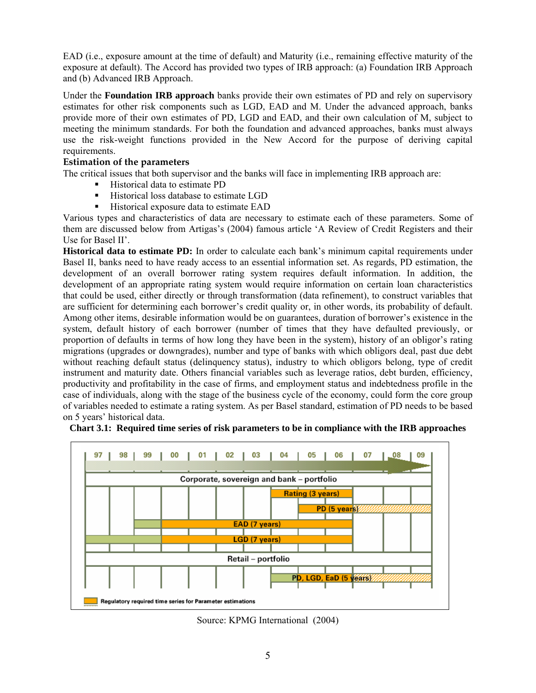EAD (i.e., exposure amount at the time of default) and Maturity (i.e., remaining effective maturity of the exposure at default). The Accord has provided two types of IRB approach: (a) Foundation IRB Approach and (b) Advanced IRB Approach.

Under the **Foundation IRB approach** banks provide their own estimates of PD and rely on supervisory estimates for other risk components such as LGD, EAD and M. Under the advanced approach, banks provide more of their own estimates of PD, LGD and EAD, and their own calculation of M, subject to meeting the minimum standards. For both the foundation and advanced approaches, banks must always use the risk-weight functions provided in the New Accord for the purpose of deriving capital requirements.

## **Estimation of the parameters**

The critical issues that both supervisor and the banks will face in implementing IRB approach are:

- $\blacksquare$  Historical data to estimate PD
- Historical loss database to estimate LGD
- Historical exposure data to estimate EAD

Various types and characteristics of data are necessary to estimate each of these parameters. Some of them are discussed below from Artigas's (2004) famous article 'A Review of Credit Registers and their Use for Basel II'.

**Historical data to estimate PD:** In order to calculate each bank's minimum capital requirements under Basel II, banks need to have ready access to an essential information set. As regards, PD estimation, the development of an overall borrower rating system requires default information. In addition, the development of an appropriate rating system would require information on certain loan characteristics that could be used, either directly or through transformation (data refinement), to construct variables that are sufficient for determining each borrower's credit quality or, in other words, its probability of default. Among other items, desirable information would be on guarantees, duration of borrower's existence in the system, default history of each borrower (number of times that they have defaulted previously, or proportion of defaults in terms of how long they have been in the system), history of an obligor's rating migrations (upgrades or downgrades), number and type of banks with which obligors deal, past due debt without reaching default status (delinquency status), industry to which obligors belong, type of credit instrument and maturity date. Others financial variables such as leverage ratios, debt burden, efficiency, productivity and profitability in the case of firms, and employment status and indebtedness profile in the case of individuals, along with the stage of the business cycle of the economy, could form the core group of variables needed to estimate a rating system. As per Basel standard, estimation of PD needs to be based on 5 years' historical data.



**Chart 3.1: Required time series of risk parameters to be in compliance with the IRB approaches**

Source: KPMG International (2004)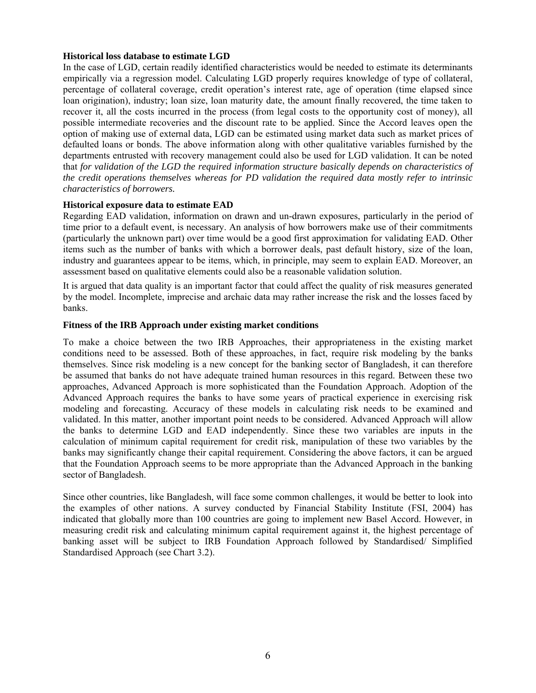#### **Historical loss database to estimate LGD**

In the case of LGD, certain readily identified characteristics would be needed to estimate its determinants empirically via a regression model. Calculating LGD properly requires knowledge of type of collateral, percentage of collateral coverage, credit operation's interest rate, age of operation (time elapsed since loan origination), industry; loan size, loan maturity date, the amount finally recovered, the time taken to recover it, all the costs incurred in the process (from legal costs to the opportunity cost of money), all possible intermediate recoveries and the discount rate to be applied. Since the Accord leaves open the option of making use of external data, LGD can be estimated using market data such as market prices of defaulted loans or bonds. The above information along with other qualitative variables furnished by the departments entrusted with recovery management could also be used for LGD validation. It can be noted that *for validation of the LGD the required information structure basically depends on characteristics of the credit operations themselves whereas for PD validation the required data mostly refer to intrinsic characteristics of borrowers.* 

#### **Historical exposure data to estimate EAD**

Regarding EAD validation, information on drawn and un-drawn exposures, particularly in the period of time prior to a default event, is necessary. An analysis of how borrowers make use of their commitments (particularly the unknown part) over time would be a good first approximation for validating EAD. Other items such as the number of banks with which a borrower deals, past default history, size of the loan, industry and guarantees appear to be items, which, in principle, may seem to explain EAD. Moreover, an assessment based on qualitative elements could also be a reasonable validation solution.

It is argued that data quality is an important factor that could affect the quality of risk measures generated by the model. Incomplete, imprecise and archaic data may rather increase the risk and the losses faced by banks.

#### **Fitness of the IRB Approach under existing market conditions**

To make a choice between the two IRB Approaches, their appropriateness in the existing market conditions need to be assessed. Both of these approaches, in fact, require risk modeling by the banks themselves. Since risk modeling is a new concept for the banking sector of Bangladesh, it can therefore be assumed that banks do not have adequate trained human resources in this regard. Between these two approaches, Advanced Approach is more sophisticated than the Foundation Approach. Adoption of the Advanced Approach requires the banks to have some years of practical experience in exercising risk modeling and forecasting. Accuracy of these models in calculating risk needs to be examined and validated. In this matter, another important point needs to be considered. Advanced Approach will allow the banks to determine LGD and EAD independently. Since these two variables are inputs in the calculation of minimum capital requirement for credit risk, manipulation of these two variables by the banks may significantly change their capital requirement. Considering the above factors, it can be argued that the Foundation Approach seems to be more appropriate than the Advanced Approach in the banking sector of Bangladesh.

Since other countries, like Bangladesh, will face some common challenges, it would be better to look into the examples of other nations. A survey conducted by Financial Stability Institute (FSI, 2004) has indicated that globally more than 100 countries are going to implement new Basel Accord. However, in measuring credit risk and calculating minimum capital requirement against it, the highest percentage of banking asset will be subject to IRB Foundation Approach followed by Standardised/ Simplified Standardised Approach (see Chart 3.2).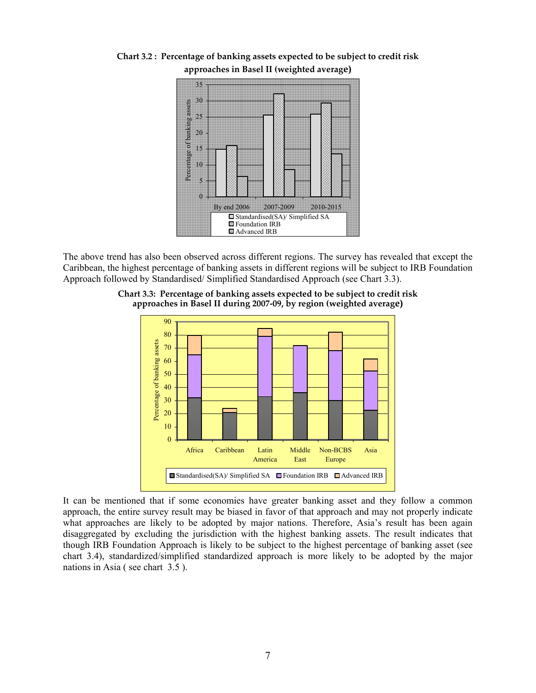

**Chart 3.2 : Percentage of banking assets expected to be subject to credit risk approaches in Basel II (weighted average)** 

The above trend has also been observed across different regions. The survey has revealed that except the Caribbean, the highest percentage of banking assets in different regions will be subject to IRB Foundation Approach followed by Standardised/ Simplified Standardised Approach (see Chart 3.3).



**Chart 3.3: Percentage of banking assets expected to be subject to credit risk approaches in Basel II during 2007‐09, by region (weighted average)** 

It can be mentioned that if some economies have greater banking asset and they follow a common approach, the entire survey result may be biased in favor of that approach and may not properly indicate what approaches are likely to be adopted by major nations. Therefore, Asia's result has been again disaggregated by excluding the jurisdiction with the highest banking assets. The result indicates that though IRB Foundation Approach is likely to be subject to the highest percentage of banking asset (see chart 3.4), standardized/simplified standardized approach is more likely to be adopted by the major nations in Asia ( see chart 3.5 ).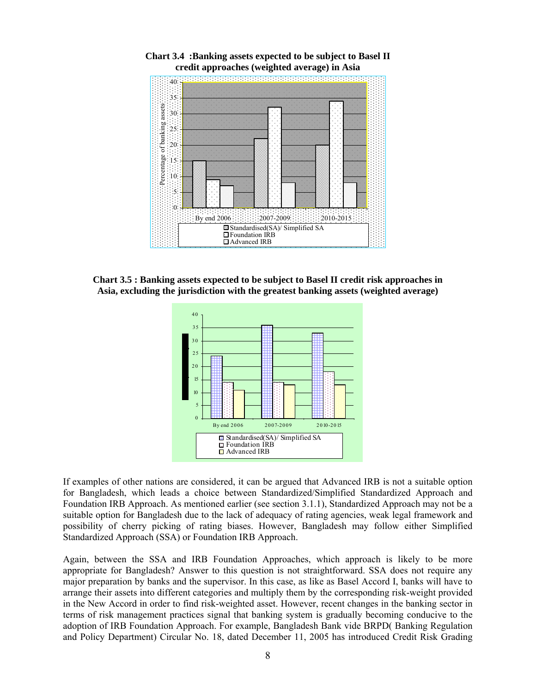

**Chart 3.4 :Banking assets expected to be subject to Basel II credit approaches (weighted average) in Asia** 

**Chart 3.5 : Banking assets expected to be subject to Basel II credit risk approaches in Asia, excluding the jurisdiction with the greatest banking assets (weighted average)** 



If examples of other nations are considered, it can be argued that Advanced IRB is not a suitable option for Bangladesh, which leads a choice between Standardized/Simplified Standardized Approach and Foundation IRB Approach. As mentioned earlier (see section 3.1.1), Standardized Approach may not be a suitable option for Bangladesh due to the lack of adequacy of rating agencies, weak legal framework and possibility of cherry picking of rating biases. However, Bangladesh may follow either Simplified Standardized Approach (SSA) or Foundation IRB Approach.

Again, between the SSA and IRB Foundation Approaches, which approach is likely to be more appropriate for Bangladesh? Answer to this question is not straightforward. SSA does not require any major preparation by banks and the supervisor. In this case, as like as Basel Accord I, banks will have to arrange their assets into different categories and multiply them by the corresponding risk-weight provided in the New Accord in order to find risk-weighted asset. However, recent changes in the banking sector in terms of risk management practices signal that banking system is gradually becoming conducive to the adoption of IRB Foundation Approach. For example, Bangladesh Bank vide BRPD( Banking Regulation and Policy Department) Circular No. 18, dated December 11, 2005 has introduced Credit Risk Grading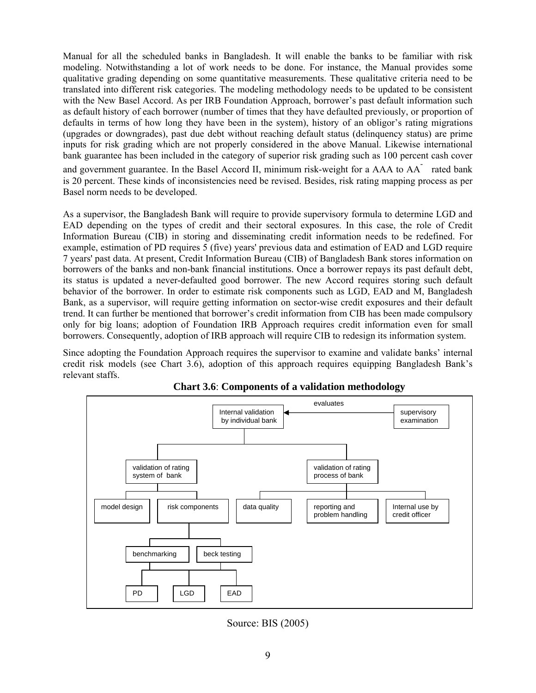Manual for all the scheduled banks in Bangladesh. It will enable the banks to be familiar with risk modeling. Notwithstanding a lot of work needs to be done. For instance, the Manual provides some qualitative grading depending on some quantitative measurements. These qualitative criteria need to be translated into different risk categories. The modeling methodology needs to be updated to be consistent with the New Basel Accord. As per IRB Foundation Approach, borrower's past default information such as default history of each borrower (number of times that they have defaulted previously, or proportion of defaults in terms of how long they have been in the system), history of an obligor's rating migrations (upgrades or downgrades), past due debt without reaching default status (delinquency status) are prime inputs for risk grading which are not properly considered in the above Manual. Likewise international bank guarantee has been included in the category of superior risk grading such as 100 percent cash cover and government guarantee. In the Basel Accord II, minimum risk-weight for a AAA to AA<sup>-</sup> rated bank is 20 percent. These kinds of inconsistencies need be revised. Besides, risk rating mapping process as per Basel norm needs to be developed.

As a supervisor, the Bangladesh Bank will require to provide supervisory formula to determine LGD and EAD depending on the types of credit and their sectoral exposures. In this case, the role of Credit Information Bureau (CIB) in storing and disseminating credit information needs to be redefined. For example, estimation of PD requires 5 (five) years' previous data and estimation of EAD and LGD require 7 years' past data. At present, Credit Information Bureau (CIB) of Bangladesh Bank stores information on borrowers of the banks and non-bank financial institutions. Once a borrower repays its past default debt, its status is updated a never-defaulted good borrower. The new Accord requires storing such default behavior of the borrower. In order to estimate risk components such as LGD, EAD and M, Bangladesh Bank, as a supervisor, will require getting information on sector-wise credit exposures and their default trend. It can further be mentioned that borrower's credit information from CIB has been made compulsory only for big loans; adoption of Foundation IRB Approach requires credit information even for small borrowers. Consequently, adoption of IRB approach will require CIB to redesign its information system.

Since adopting the Foundation Approach requires the supervisor to examine and validate banks' internal credit risk models (see Chart 3.6), adoption of this approach requires equipping Bangladesh Bank's relevant staffs.



**Chart 3.6**: **Components of a validation methodology**

Source: BIS (2005)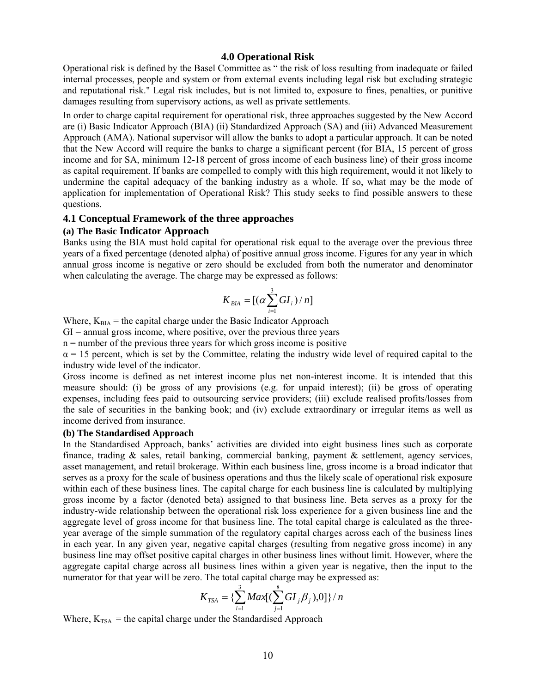#### **4.0 Operational Risk**

Operational risk is defined by the Basel Committee as " the risk of loss resulting from inadequate or failed internal processes, people and system or from external events including legal risk but excluding strategic and reputational risk." Legal risk includes, but is not limited to, exposure to fines, penalties, or punitive damages resulting from supervisory actions, as well as private settlements.

In order to charge capital requirement for operational risk, three approaches suggested by the New Accord are (i) Basic Indicator Approach (BIA) (ii) Standardized Approach (SA) and (iii) Advanced Measurement Approach (AMA). National supervisor will allow the banks to adopt a particular approach. It can be noted that the New Accord will require the banks to charge a significant percent (for BIA, 15 percent of gross income and for SA, minimum 12-18 percent of gross income of each business line) of their gross income as capital requirement. If banks are compelled to comply with this high requirement, would it not likely to undermine the capital adequacy of the banking industry as a whole. If so, what may be the mode of application for implementation of Operational Risk? This study seeks to find possible answers to these questions.

#### **4.1 Conceptual Framework of the three approaches**

## **(a) The Basic Indicator Approach**

Banks using the BIA must hold capital for operational risk equal to the average over the previous three years of a fixed percentage (denoted alpha) of positive annual gross income. Figures for any year in which annual gross income is negative or zero should be excluded from both the numerator and denominator when calculating the average. The charge may be expressed as follows:

$$
K_{\scriptscriptstyle BIA} = \left[ \left( \alpha \sum_{i=1}^3 G I_i \right) / n \right]
$$

Where,  $K<sub>BIA</sub>$  = the capital charge under the Basic Indicator Approach

 $GI =$  annual gross income, where positive, over the previous three years

 $n =$  number of the previous three years for which gross income is positive

 $\alpha$  = 15 percent, which is set by the Committee, relating the industry wide level of required capital to the industry wide level of the indicator.

Gross income is defined as net interest income plus net non-interest income. It is intended that this measure should: (i) be gross of any provisions (e.g. for unpaid interest); (ii) be gross of operating expenses, including fees paid to outsourcing service providers; (iii) exclude realised profits/losses from the sale of securities in the banking book; and (iv) exclude extraordinary or irregular items as well as income derived from insurance.

#### **(b) The Standardised Approach**

In the Standardised Approach, banks' activities are divided into eight business lines such as corporate finance, trading  $\&$  sales, retail banking, commercial banking, payment  $\&$  settlement, agency services, asset management, and retail brokerage. Within each business line, gross income is a broad indicator that serves as a proxy for the scale of business operations and thus the likely scale of operational risk exposure within each of these business lines. The capital charge for each business line is calculated by multiplying gross income by a factor (denoted beta) assigned to that business line. Beta serves as a proxy for the industry-wide relationship between the operational risk loss experience for a given business line and the aggregate level of gross income for that business line. The total capital charge is calculated as the threeyear average of the simple summation of the regulatory capital charges across each of the business lines in each year. In any given year, negative capital charges (resulting from negative gross income) in any business line may offset positive capital charges in other business lines without limit. However, where the aggregate capital charge across all business lines within a given year is negative, then the input to the numerator for that year will be zero. The total capital charge may be expressed as:

$$
K_{TSA} = \{ \sum_{i=1}^{3} Max[ (\sum_{j=1}^{8} GI_j \beta_j), 0] \} / n
$$

Where,  $K_{TSA}$  = the capital charge under the Standardised Approach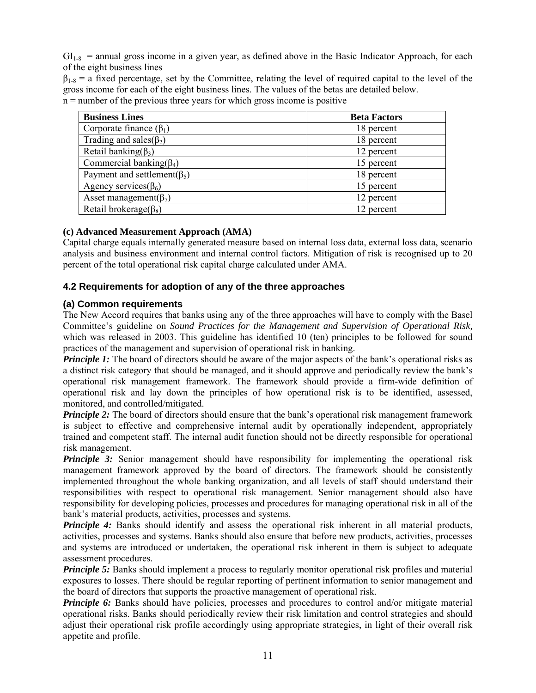$GI<sub>1-8</sub>$  = annual gross income in a given year, as defined above in the Basic Indicator Approach, for each of the eight business lines

 $\beta_{1-8}$  = a fixed percentage, set by the Committee, relating the level of required capital to the level of the gross income for each of the eight business lines. The values of the betas are detailed below.

n = number of the previous three years for which gross income is positive

| <b>Business Lines</b>               | <b>Beta Factors</b> |
|-------------------------------------|---------------------|
| Corporate finance $(\beta_1)$       | 18 percent          |
| Trading and sales( $\beta_2$ )      | 18 percent          |
| Retail banking( $\beta_3$ )         | 12 percent          |
| Commercial banking( $\beta_4$ )     | 15 percent          |
| Payment and settlement( $\beta_5$ ) | 18 percent          |
| Agency services( $\beta_6$ )        | 15 percent          |
| Asset management( $\beta_7$ )       | 12 percent          |
| Retail brokerage( $\beta_8$ )       | 12 percent          |

## **(c) Advanced Measurement Approach (AMA)**

Capital charge equals internally generated measure based on internal loss data, external loss data, scenario analysis and business environment and internal control factors. Mitigation of risk is recognised up to 20 percent of the total operational risk capital charge calculated under AMA.

## **4.2 Requirements for adoption of any of the three approaches**

## **(a) Common requirements**

The New Accord requires that banks using any of the three approaches will have to comply with the Basel Committee's guideline on *Sound Practices for the Management and Supervision of Operational Risk,* which was released in 2003. This guideline has identified 10 (ten) principles to be followed for sound practices of the management and supervision of operational risk in banking.

*Principle 1:* The board of directors should be aware of the major aspects of the bank's operational risks as a distinct risk category that should be managed, and it should approve and periodically review the bank's operational risk management framework. The framework should provide a firm-wide definition of operational risk and lay down the principles of how operational risk is to be identified, assessed, monitored, and controlled/mitigated.

*Principle 2:* The board of directors should ensure that the bank's operational risk management framework is subject to effective and comprehensive internal audit by operationally independent, appropriately trained and competent staff. The internal audit function should not be directly responsible for operational risk management.

*Principle 3:* Senior management should have responsibility for implementing the operational risk management framework approved by the board of directors. The framework should be consistently implemented throughout the whole banking organization, and all levels of staff should understand their responsibilities with respect to operational risk management. Senior management should also have responsibility for developing policies, processes and procedures for managing operational risk in all of the bank's material products, activities, processes and systems.

*Principle 4:* Banks should identify and assess the operational risk inherent in all material products, activities, processes and systems. Banks should also ensure that before new products, activities, processes and systems are introduced or undertaken, the operational risk inherent in them is subject to adequate assessment procedures.

*Principle 5:* Banks should implement a process to regularly monitor operational risk profiles and material exposures to losses. There should be regular reporting of pertinent information to senior management and the board of directors that supports the proactive management of operational risk.

*Principle 6:* Banks should have policies, processes and procedures to control and/or mitigate material operational risks. Banks should periodically review their risk limitation and control strategies and should adjust their operational risk profile accordingly using appropriate strategies, in light of their overall risk appetite and profile.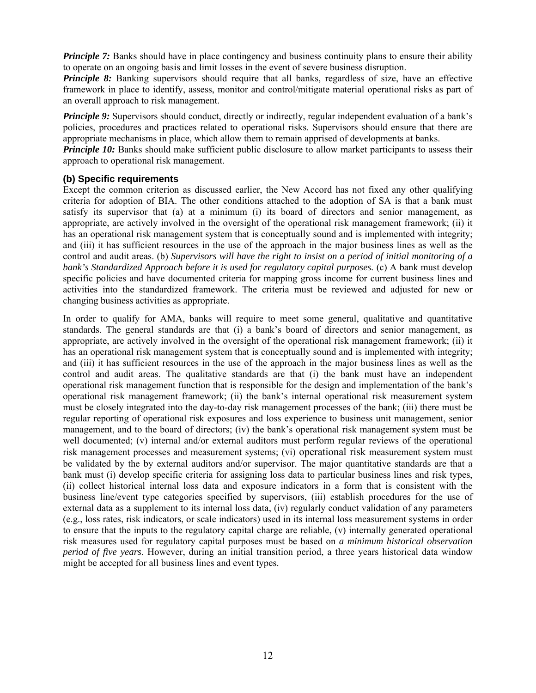*Principle 7:* Banks should have in place contingency and business continuity plans to ensure their ability to operate on an ongoing basis and limit losses in the event of severe business disruption.

*Principle 8:* Banking supervisors should require that all banks, regardless of size, have an effective framework in place to identify, assess, monitor and control/mitigate material operational risks as part of an overall approach to risk management.

*Principle 9:* Supervisors should conduct, directly or indirectly, regular independent evaluation of a bank's policies, procedures and practices related to operational risks. Supervisors should ensure that there are appropriate mechanisms in place, which allow them to remain apprised of developments at banks.

*Principle 10:* Banks should make sufficient public disclosure to allow market participants to assess their approach to operational risk management.

## **(b) Specific requirements**

Except the common criterion as discussed earlier, the New Accord has not fixed any other qualifying criteria for adoption of BIA. The other conditions attached to the adoption of SA is that a bank must satisfy its supervisor that (a) at a minimum (i) its board of directors and senior management, as appropriate, are actively involved in the oversight of the operational risk management framework; (ii) it has an operational risk management system that is conceptually sound and is implemented with integrity; and (iii) it has sufficient resources in the use of the approach in the major business lines as well as the control and audit areas. (b) *Supervisors will have the right to insist on a period of initial monitoring of a bank's Standardized Approach before it is used for regulatory capital purposes.* (c) A bank must develop specific policies and have documented criteria for mapping gross income for current business lines and activities into the standardized framework. The criteria must be reviewed and adjusted for new or changing business activities as appropriate.

In order to qualify for AMA, banks will require to meet some general, qualitative and quantitative standards. The general standards are that (i) a bank's board of directors and senior management, as appropriate, are actively involved in the oversight of the operational risk management framework; (ii) it has an operational risk management system that is conceptually sound and is implemented with integrity; and (iii) it has sufficient resources in the use of the approach in the major business lines as well as the control and audit areas. The qualitative standards are that (i) the bank must have an independent operational risk management function that is responsible for the design and implementation of the bank's operational risk management framework; (ii) the bank's internal operational risk measurement system must be closely integrated into the day-to-day risk management processes of the bank; (iii) there must be regular reporting of operational risk exposures and loss experience to business unit management, senior management, and to the board of directors; (iv) the bank's operational risk management system must be well documented; (v) internal and/or external auditors must perform regular reviews of the operational risk management processes and measurement systems; (vi) operational risk measurement system must be validated by the by external auditors and/or supervisor. The major quantitative standards are that a bank must (i) develop specific criteria for assigning loss data to particular business lines and risk types, (ii) collect historical internal loss data and exposure indicators in a form that is consistent with the business line/event type categories specified by supervisors, (iii) establish procedures for the use of external data as a supplement to its internal loss data, (iv) regularly conduct validation of any parameters (e.g., loss rates, risk indicators, or scale indicators) used in its internal loss measurement systems in order to ensure that the inputs to the regulatory capital charge are reliable, (v) internally generated operational risk measures used for regulatory capital purposes must be based on *a minimum historical observation period of five years*. However, during an initial transition period, a three years historical data window might be accepted for all business lines and event types.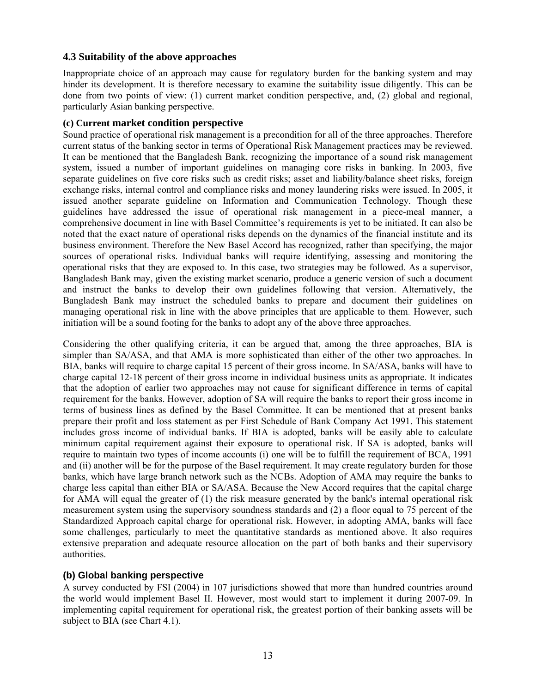## **4.3 Suitability of the above approaches**

Inappropriate choice of an approach may cause for regulatory burden for the banking system and may hinder its development. It is therefore necessary to examine the suitability issue diligently. This can be done from two points of view: (1) current market condition perspective, and, (2) global and regional, particularly Asian banking perspective.

### **(c) Current market condition perspective**

Sound practice of operational risk management is a precondition for all of the three approaches. Therefore current status of the banking sector in terms of Operational Risk Management practices may be reviewed. It can be mentioned that the Bangladesh Bank, recognizing the importance of a sound risk management system, issued a number of important guidelines on managing core risks in banking. In 2003, five separate guidelines on five core risks such as credit risks; asset and liability/balance sheet risks, foreign exchange risks, internal control and compliance risks and money laundering risks were issued. In 2005, it issued another separate guideline on Information and Communication Technology. Though these guidelines have addressed the issue of operational risk management in a piece-meal manner, a comprehensive document in line with Basel Committee's requirements is yet to be initiated. It can also be noted that the exact nature of operational risks depends on the dynamics of the financial institute and its business environment. Therefore the New Basel Accord has recognized, rather than specifying, the major sources of operational risks. Individual banks will require identifying, assessing and monitoring the operational risks that they are exposed to. In this case, two strategies may be followed. As a supervisor, Bangladesh Bank may, given the existing market scenario, produce a generic version of such a document and instruct the banks to develop their own guidelines following that version. Alternatively, the Bangladesh Bank may instruct the scheduled banks to prepare and document their guidelines on managing operational risk in line with the above principles that are applicable to them. However, such initiation will be a sound footing for the banks to adopt any of the above three approaches.

Considering the other qualifying criteria, it can be argued that, among the three approaches, BIA is simpler than SA/ASA, and that AMA is more sophisticated than either of the other two approaches. In BIA, banks will require to charge capital 15 percent of their gross income. In SA/ASA, banks will have to charge capital 12-18 percent of their gross income in individual business units as appropriate. It indicates that the adoption of earlier two approaches may not cause for significant difference in terms of capital requirement for the banks. However, adoption of SA will require the banks to report their gross income in terms of business lines as defined by the Basel Committee. It can be mentioned that at present banks prepare their profit and loss statement as per First Schedule of Bank Company Act 1991. This statement includes gross income of individual banks. If BIA is adopted, banks will be easily able to calculate minimum capital requirement against their exposure to operational risk. If SA is adopted, banks will require to maintain two types of income accounts (i) one will be to fulfill the requirement of BCA, 1991 and (ii) another will be for the purpose of the Basel requirement. It may create regulatory burden for those banks, which have large branch network such as the NCBs. Adoption of AMA may require the banks to charge less capital than either BIA or SA/ASA. Because the New Accord requires that the capital charge for AMA will equal the greater of (1) the risk measure generated by the bank's internal operational risk measurement system using the supervisory soundness standards and (2) a floor equal to 75 percent of the Standardized Approach capital charge for operational risk. However, in adopting AMA, banks will face some challenges, particularly to meet the quantitative standards as mentioned above. It also requires extensive preparation and adequate resource allocation on the part of both banks and their supervisory authorities.

## **(b) Global banking perspective**

A survey conducted by FSI (2004) in 107 jurisdictions showed that more than hundred countries around the world would implement Basel II. However, most would start to implement it during 2007-09. In implementing capital requirement for operational risk, the greatest portion of their banking assets will be subject to BIA (see Chart 4.1).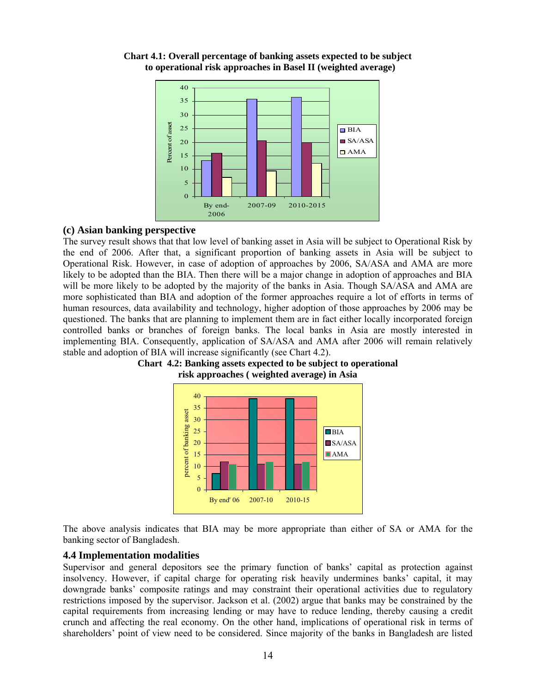

## **Chart 4.1: Overall percentage of banking assets expected to be subject to operational risk approaches in Basel II (weighted average)**

## **(c) Asian banking perspective**

The survey result shows that that low level of banking asset in Asia will be subject to Operational Risk by the end of 2006. After that, a significant proportion of banking assets in Asia will be subject to Operational Risk. However, in case of adoption of approaches by 2006, SA/ASA and AMA are more likely to be adopted than the BIA. Then there will be a major change in adoption of approaches and BIA will be more likely to be adopted by the majority of the banks in Asia. Though SA/ASA and AMA are more sophisticated than BIA and adoption of the former approaches require a lot of efforts in terms of human resources, data availability and technology, higher adoption of those approaches by 2006 may be questioned. The banks that are planning to implement them are in fact either locally incorporated foreign controlled banks or branches of foreign banks. The local banks in Asia are mostly interested in implementing BIA. Consequently, application of SA/ASA and AMA after 2006 will remain relatively stable and adoption of BIA will increase significantly (see Chart 4.2).





The above analysis indicates that BIA may be more appropriate than either of SA or AMA for the banking sector of Bangladesh.

## **4.4 Implementation modalities**

Supervisor and general depositors see the primary function of banks' capital as protection against insolvency. However, if capital charge for operating risk heavily undermines banks' capital, it may downgrade banks' composite ratings and may constraint their operational activities due to regulatory restrictions imposed by the supervisor. Jackson et al. (2002) argue that banks may be constrained by the capital requirements from increasing lending or may have to reduce lending, thereby causing a credit crunch and affecting the real economy. On the other hand, implications of operational risk in terms of shareholders' point of view need to be considered. Since majority of the banks in Bangladesh are listed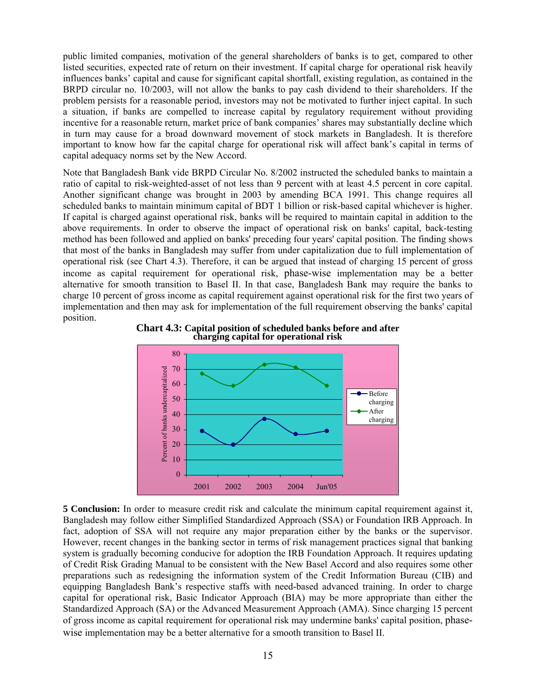public limited companies, motivation of the general shareholders of banks is to get, compared to other listed securities, expected rate of return on their investment. If capital charge for operational risk heavily influences banks' capital and cause for significant capital shortfall, existing regulation, as contained in the BRPD circular no. 10/2003, will not allow the banks to pay cash dividend to their shareholders. If the problem persists for a reasonable period, investors may not be motivated to further inject capital. In such a situation, if banks are compelled to increase capital by regulatory requirement without providing incentive for a reasonable return, market price of bank companies' shares may substantially decline which in turn may cause for a broad downward movement of stock markets in Bangladesh. It is therefore important to know how far the capital charge for operational risk will affect bank's capital in terms of capital adequacy norms set by the New Accord.

Note that Bangladesh Bank vide BRPD Circular No. 8/2002 instructed the scheduled banks to maintain a ratio of capital to risk-weighted-asset of not less than 9 percent with at least 4.5 percent in core capital. Another significant change was brought in 2003 by amending BCA 1991. This change requires all scheduled banks to maintain minimum capital of BDT 1 billion or risk-based capital whichever is higher. If capital is charged against operational risk, banks will be required to maintain capital in addition to the above requirements. In order to observe the impact of operational risk on banks' capital, back-testing method has been followed and applied on banks' preceding four years' capital position. The finding shows that most of the banks in Bangladesh may suffer from under capitalization due to full implementation of operational risk (see Chart 4.3). Therefore, it can be argued that instead of charging 15 percent of gross income as capital requirement for operational risk, phase-wise implementation may be a better alternative for smooth transition to Basel II. In that case, Bangladesh Bank may require the banks to charge 10 percent of gross income as capital requirement against operational risk for the first two years of implementation and then may ask for implementation of the full requirement observing the banks' capital position.



**Chart 4.3: Capital position of scheduled banks before and after charging capital for operational risk** 

**5 Conclusion:** In order to measure credit risk and calculate the minimum capital requirement against it, Bangladesh may follow either Simplified Standardized Approach (SSA) or Foundation IRB Approach. In fact, adoption of SSA will not require any major preparation either by the banks or the supervisor. However, recent changes in the banking sector in terms of risk management practices signal that banking system is gradually becoming conducive for adoption the IRB Foundation Approach. It requires updating of Credit Risk Grading Manual to be consistent with the New Basel Accord and also requires some other preparations such as redesigning the information system of the Credit Information Bureau (CIB) and equipping Bangladesh Bank's respective staffs with need-based advanced training. In order to charge capital for operational risk, Basic Indicator Approach (BIA) may be more appropriate than either the Standardized Approach (SA) or the Advanced Measurement Approach (AMA). Since charging 15 percent of gross income as capital requirement for operational risk may undermine banks' capital position, phasewise implementation may be a better alternative for a smooth transition to Basel II.